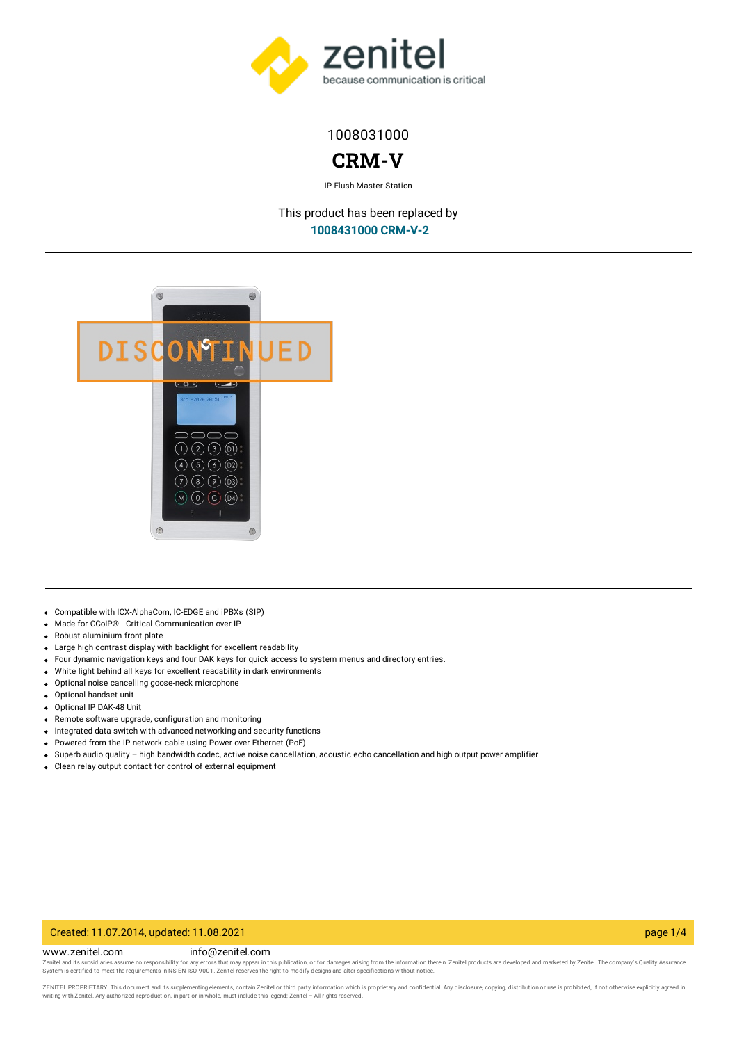

# 1008031000

# **CRM-V**

IP Flush Master Station

This product has been replaced by **[1008431000](https://www.zenitel.com/product/crm-v-2) CRM-V-2**



- Compatible with ICX-AlphaCom, IC-EDGE and iPBXs (SIP)
- Made for CCoIP® Critical Communication over IP
- Robust aluminium front plate
- Large high contrast display with backlight for excellent readability
- Four dynamic navigation keys and four DAK keys for quick access to system menus and directory entries.
- White light behind all keys for excellent readability in dark environments
- Optional noise cancelling goose-neck microphone
- Optional handset unit
- Optional IP DAK-48 Unit
- $\bullet$ Remote software upgrade, configuration and monitoring
- Integrated data switch with advanced networking and security functions
- Powered from the IP network cable using Power over Ethernet (PoE)
- Superb audio quality high bandwidth codec, active noise cancellation, acoustic echo cancellation and high output power amplifier
- Clean relay output contact for control of external equipment

# Created: 11.07.2014, updated: 11.08.2021 page 1/4

www.zenitel.com info@zenitel.com

Zenitel and its subsidiaries assume no responsibility for any errors that may appear in this publication, or for damages arising from the information therein. Zenitel products are developed and marketed by Zenitel. The com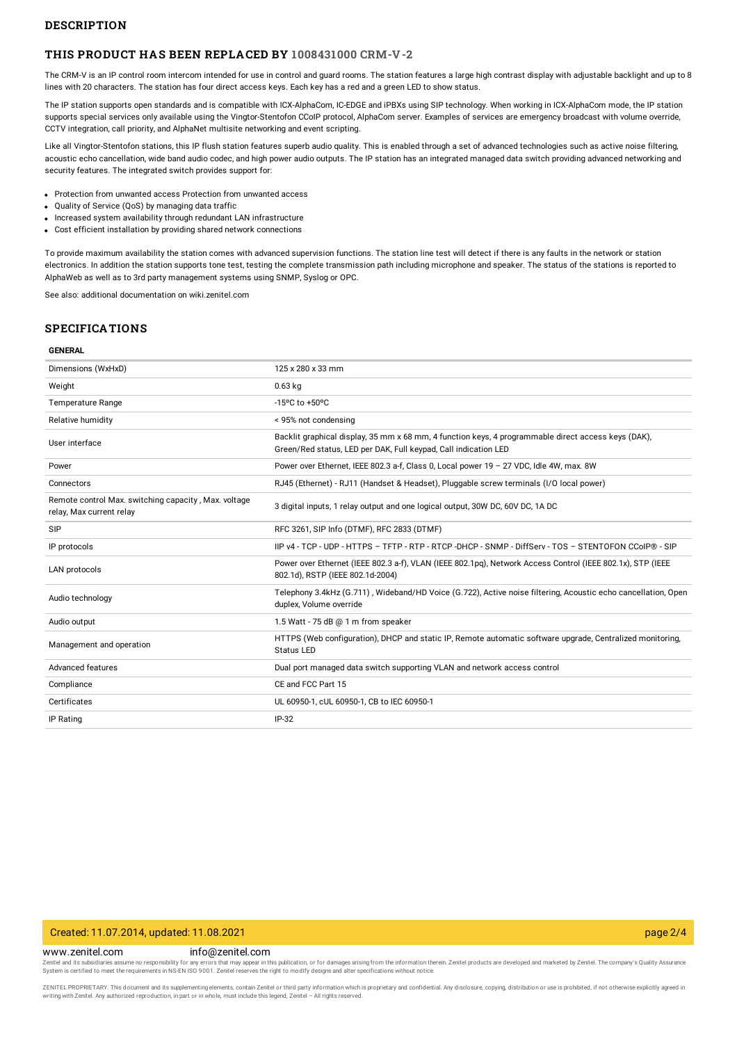### **DESCRIPTION**

### **THIS PRODUCT HAS BEEN REPLACED BY [1008431000](https://www.zenitel.com/product/crm-v-2) CRM-V-2**

The CRM-V is an IP control room intercom intended for use in control and guard rooms. The station features a large high contrast display with adjustable backlight and up to 8 lines with 20 characters. The station has four direct access keys. Each key has a red and a green LED to show status.

The IP station supports open standards and is compatible with ICX-AlphaCom, IC-EDGE and iPBXs using SIP technology. When working in ICX-AlphaCom mode, the IP station supports special services only available using the Vingtor-Stentofon CCoIP protocol, AlphaCom server. Examples of services are emergency broadcast with volume override, CCTV integration, call priority, and AlphaNet multisite networking and event scripting.

Like all Vingtor-Stentofon stations, this IP flush station features superb audio quality. This is enabled through a set of advanced technologies such as active noise filtering, acoustic echo cancellation, wide band audio codec, and high power audio outputs. The IP station has an integrated managed data switch providing advanced networking and security features. The integrated switch provides support for:

- Protection from unwanted access Protection from unwanted access
- Quality of Service (QoS) by managing data traffic
- Increased system availability through redundant LAN infrastructure
- Cost efficient installation by providing shared network connections

To provide maximum availability the station comes with advanced supervision functions. The station line test will detect if there is any faults in the network or station electronics. In addition the station supports tone test, testing the complete transmission path including microphone and speaker. The status of the stations is reported to AlphaWeb as well as to 3rd party management systems using SNMP, Syslog or OPC.

See also: additional documentation on wiki.zenitel.com

### **SPECIFICATIONS**

#### **GENERAL**

| Dimensions (WxHxD)                                                               | 125 x 280 x 33 mm                                                                                                                                                      |
|----------------------------------------------------------------------------------|------------------------------------------------------------------------------------------------------------------------------------------------------------------------|
| Weight                                                                           | $0.63$ kg                                                                                                                                                              |
| <b>Temperature Range</b>                                                         | -15°C to +50°C                                                                                                                                                         |
| Relative humidity                                                                | < 95% not condensing                                                                                                                                                   |
| User interface                                                                   | Backlit graphical display, 35 mm x 68 mm, 4 function keys, 4 programmable direct access keys (DAK),<br>Green/Red status, LED per DAK, Full keypad, Call indication LED |
| Power                                                                            | Power over Ethernet, IEEE 802.3 a-f, Class 0, Local power 19 - 27 VDC, Idle 4W, max. 8W                                                                                |
| Connectors                                                                       | RJ45 (Ethernet) - RJ11 (Handset & Headset), Pluggable screw terminals (I/O local power)                                                                                |
| Remote control Max. switching capacity, Max. voltage<br>relay, Max current relay | 3 digital inputs, 1 relay output and one logical output, 30W DC, 60V DC, 1A DC                                                                                         |
| <b>SIP</b>                                                                       | RFC 3261, SIP Info (DTMF), RFC 2833 (DTMF)                                                                                                                             |
| IP protocols                                                                     | IIP v4 - TCP - UDP - HTTPS - TFTP - RTP - RTCP -DHCP - SNMP - DiffServ - TOS - STENTOFON CCoIP® - SIP                                                                  |
| <b>LAN protocols</b>                                                             | Power over Ethernet (IEEE 802.3 a-f), VLAN (IEEE 802.1pq), Network Access Control (IEEE 802.1x), STP (IEEE<br>802.1d), RSTP (IEEE 802.1d-2004)                         |
| Audio technology                                                                 | Telephony 3.4kHz (G.711), Wideband/HD Voice (G.722), Active noise filtering, Acoustic echo cancellation, Open<br>duplex, Volume override                               |
| Audio output                                                                     | 1.5 Watt - 75 dB @ 1 m from speaker                                                                                                                                    |
| Management and operation                                                         | HTTPS (Web configuration), DHCP and static IP, Remote automatic software upgrade, Centralized monitoring,<br><b>Status LED</b>                                         |
| Advanced features                                                                | Dual port managed data switch supporting VLAN and network access control                                                                                               |
| Compliance                                                                       | CE and FCC Part 15                                                                                                                                                     |
| Certificates                                                                     | UL 60950-1, cUL 60950-1, CB to IEC 60950-1                                                                                                                             |
| IP Rating                                                                        | $IP-32$                                                                                                                                                                |
|                                                                                  |                                                                                                                                                                        |

### Created: 11.07.2014, updated: 11.08.2021 page 2/4

www.zenitel.com info@zenitel.com

Zenitel and its subsidiaries assume no responsibility for any errors that may appear in this publication, or for damages arising from the information therein. Zenitel products are developed and marketed by Zenitel. The com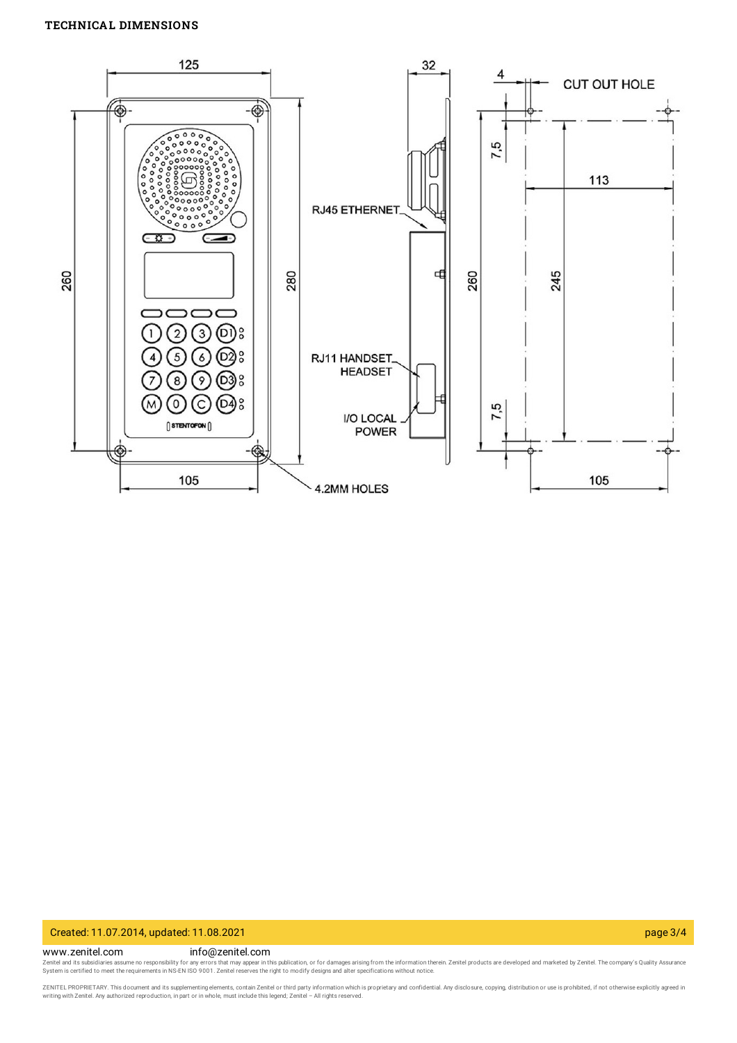# **TECHNICAL DIMENSIONS**



### Created: 11.07.2014, updated: 11.08.2021 page 3/4

www.zenitel.com info@zenitel.com

Zenitel and its subsidiaries assume no responsibility for any errors that may appear in this publication, or for damages arising from the information therein. Zenitel products are developed and marketed by Zenitel. The com